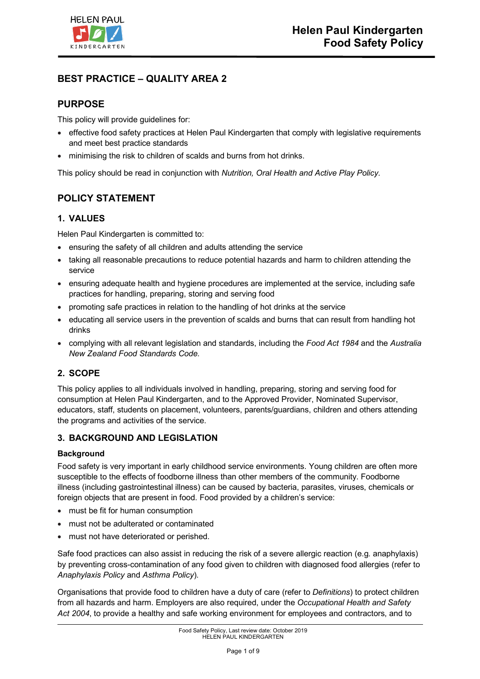

## **BEST PRACTICE – QUALITY AREA 2**

## **PURPOSE**

This policy will provide guidelines for:

- effective food safety practices at Helen Paul Kindergarten that comply with legislative requirements and meet best practice standards
- minimising the risk to children of scalds and burns from hot drinks.

This policy should be read in conjunction with *Nutrition, Oral Health and Active Play Policy.*

# **POLICY STATEMENT**

### **1. VALUES**

Helen Paul Kindergarten is committed to:

- ensuring the safety of all children and adults attending the service
- taking all reasonable precautions to reduce potential hazards and harm to children attending the service
- ensuring adequate health and hygiene procedures are implemented at the service, including safe practices for handling, preparing, storing and serving food
- promoting safe practices in relation to the handling of hot drinks at the service
- educating all service users in the prevention of scalds and burns that can result from handling hot drinks
- complying with all relevant legislation and standards, including the *Food Act 1984* and the *Australia New Zealand Food Standards Code.*

### **2. SCOPE**

This policy applies to all individuals involved in handling, preparing, storing and serving food for consumption at Helen Paul Kindergarten, and to the Approved Provider, Nominated Supervisor, educators, staff, students on placement, volunteers, parents/guardians, children and others attending the programs and activities of the service.

### **3. BACKGROUND AND LEGISLATION**

#### **Background**

Food safety is very important in early childhood service environments. Young children are often more susceptible to the effects of foodborne illness than other members of the community. Foodborne illness (including gastrointestinal illness) can be caused by bacteria, parasites, viruses, chemicals or foreign objects that are present in food. Food provided by a children's service:

- must be fit for human consumption
- must not be adulterated or contaminated
- must not have deteriorated or perished.

Safe food practices can also assist in reducing the risk of a severe allergic reaction (e.g. anaphylaxis) by preventing cross-contamination of any food given to children with diagnosed food allergies (refer to *Anaphylaxis Policy* and *Asthma Policy*).

Organisations that provide food to children have a duty of care (refer to *Definitions*) to protect children from all hazards and harm. Employers are also required, under the *Occupational Health and Safety Act 2004*, to provide a healthy and safe working environment for employees and contractors, and to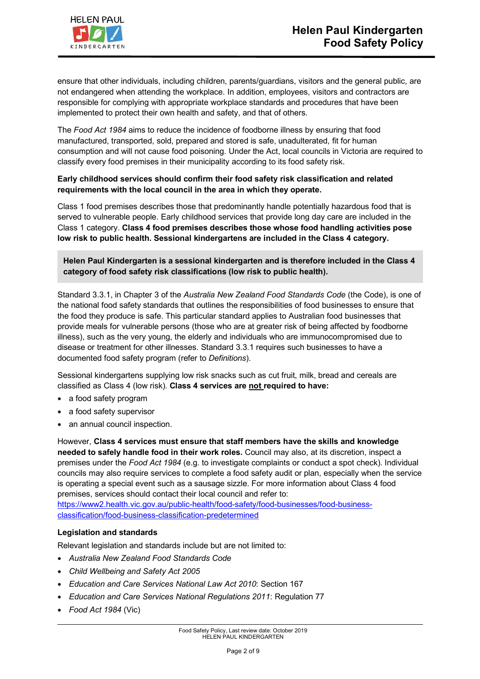ensure that other individuals, including children, parents/guardians, visitors and the general public, are not endangered when attending the workplace. In addition, employees, visitors and contractors are responsible for complying with appropriate workplace standards and procedures that have been implemented to protect their own health and safety, and that of others.

The *Food Act 1984* aims to reduce the incidence of foodborne illness by ensuring that food manufactured, transported, sold, prepared and stored is safe, unadulterated, fit for human consumption and will not cause food poisoning. Under the Act, local councils in Victoria are required to classify every food premises in their municipality according to its food safety risk.

#### **Early childhood services should confirm their food safety risk classification and related requirements with the local council in the area in which they operate.**

Class 1 food premises describes those that predominantly handle potentially hazardous food that is served to vulnerable people. Early childhood services that provide long day care are included in the Class 1 category. **Class 4 food premises describes those whose food handling activities pose low risk to public health. Sessional kindergartens are included in the Class 4 category.**

**Helen Paul Kindergarten is a sessional kindergarten and is therefore included in the Class 4 category of food safety risk classifications (low risk to public health).** 

Standard 3.3.1, in Chapter 3 of the *Australia New Zealand Food Standards Code* (the Code), is one of the national food safety standards that outlines the responsibilities of food businesses to ensure that the food they produce is safe. This particular standard applies to Australian food businesses that provide meals for vulnerable persons (those who are at greater risk of being affected by foodborne illness), such as the very young, the elderly and individuals who are immunocompromised due to disease or treatment for other illnesses. Standard 3.3.1 requires such businesses to have a documented food safety program (refer to *Definitions*).

Sessional kindergartens supplying low risk snacks such as cut fruit, milk, bread and cereals are classified as Class 4 (low risk). **Class 4 services are not required to have:**

- a food safety program
- a food safety supervisor
- an annual council inspection.

However, **Class 4 services must ensure that staff members have the skills and knowledge needed to safely handle food in their work roles.** Council may also, at its discretion, inspect a premises under the *Food Act 1984* (e.g. to investigate complaints or conduct a spot check). Individual councils may also require services to complete a food safety audit or plan, especially when the service is operating a special event such as a sausage sizzle. For more information about Class 4 food premises, services should contact their local council and refer to:

https://www2.health.vic.gov.au/public-health/food-safety/food-businesses/food-businessclassification/food-business-classification-predetermined

#### **Legislation and standards**

Relevant legislation and standards include but are not limited to:

- *Australia New Zealand Food Standards Code*
- *Child Wellbeing and Safety Act 2005*
- *Education and Care Services National Law Act 2010*: Section 167
- *Education and Care Services National Regulations 2011*: Regulation 77
- *Food Act 1984* (Vic)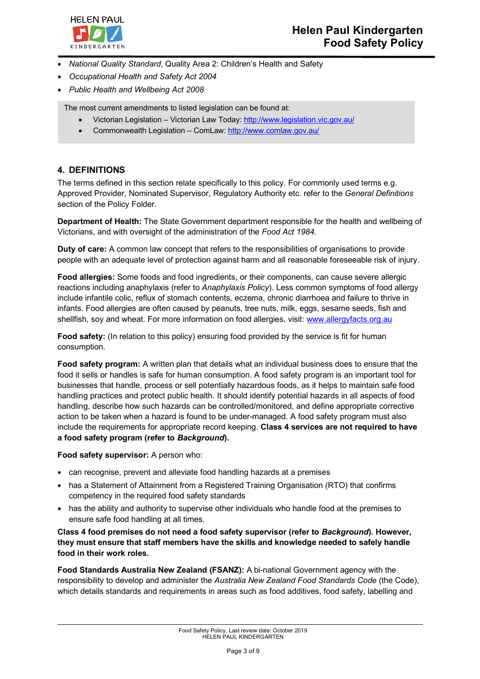

- *National Quality Standard*, Quality Area 2: Children's Health and Safety
- *Occupational Health and Safety Act 2004*
- *Public Health and Wellbeing Act 2008*

The most current amendments to listed legislation can be found at:

- Victorian Legislation Victorian Law Today: http://www.legislation.vic.gov.au/
- Commonwealth Legislation ComLaw: http://www.comlaw.gov.au/

### **4. DEFINITIONS**

The terms defined in this section relate specifically to this policy. For commonly used terms e.g. Approved Provider, Nominated Supervisor, Regulatory Authority etc. refer to the *General Definitions* section of the Policy Folder.

**Department of Health:** The State Government department responsible for the health and wellbeing of Victorians, and with oversight of the administration of the *Food Act 1984*.

**Duty of care:** A common law concept that refers to the responsibilities of organisations to provide people with an adequate level of protection against harm and all reasonable foreseeable risk of injury.

**Food allergies:** Some foods and food ingredients, or their components, can cause severe allergic reactions including anaphylaxis (refer to *Anaphylaxis Policy*). Less common symptoms of food allergy include infantile colic, reflux of stomach contents, eczema, chronic diarrhoea and failure to thrive in infants. Food allergies are often caused by peanuts, tree nuts, milk, eggs, sesame seeds, fish and shellfish, soy and wheat. For more information on food allergies, visit: www.allergyfacts.org.au

**Food safety:** (In relation to this policy) ensuring food provided by the service is fit for human consumption.

**Food safety program:** A written plan that details what an individual business does to ensure that the food it sells or handles is safe for human consumption. A food safety program is an important tool for businesses that handle, process or sell potentially hazardous foods, as it helps to maintain safe food handling practices and protect public health. It should identify potential hazards in all aspects of food handling, describe how such hazards can be controlled/monitored, and define appropriate corrective action to be taken when a hazard is found to be under-managed. A food safety program must also include the requirements for appropriate record keeping. **Class 4 services are not required to have a food safety program (refer to** *Background***).**

**Food safety supervisor:** A person who:

- can recognise, prevent and alleviate food handling hazards at a premises
- has a Statement of Attainment from a Registered Training Organisation (RTO) that confirms competency in the required food safety standards
- has the ability and authority to supervise other individuals who handle food at the premises to ensure safe food handling at all times.

**Class 4 food premises do not need a food safety supervisor (refer to** *Background***). However, they must ensure that staff members have the skills and knowledge needed to safely handle food in their work roles.**

**Food Standards Australia New Zealand (FSANZ):** A bi-national Government agency with the responsibility to develop and administer the *Australia New Zealand Food Standards Code* (the Code), which details standards and requirements in areas such as food additives, food safety, labelling and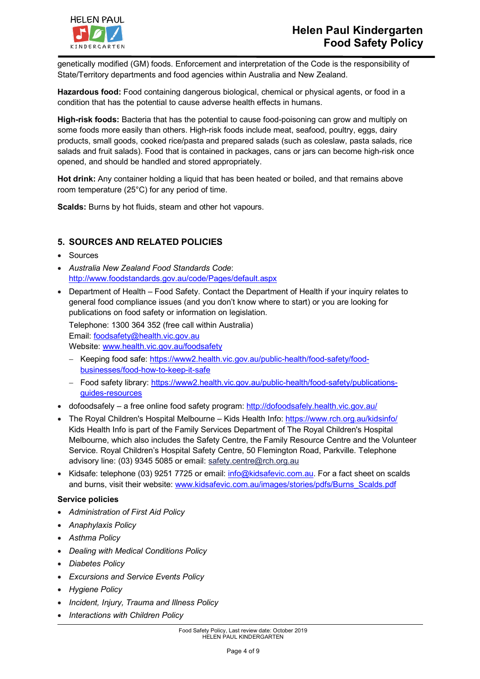

genetically modified (GM) foods. Enforcement and interpretation of the Code is the responsibility of State/Territory departments and food agencies within Australia and New Zealand.

**Hazardous food:** Food containing dangerous biological, chemical or physical agents, or food in a condition that has the potential to cause adverse health effects in humans.

**High-risk foods:** Bacteria that has the potential to cause food-poisoning can grow and multiply on some foods more easily than others. High-risk foods include meat, seafood, poultry, eggs, dairy products, small goods, cooked rice/pasta and prepared salads (such as coleslaw, pasta salads, rice salads and fruit salads). Food that is contained in packages, cans or jars can become high-risk once opened, and should be handled and stored appropriately.

**Hot drink:** Any container holding a liquid that has been heated or boiled, and that remains above room temperature (25°C) for any period of time.

**Scalds:** Burns by hot fluids, steam and other hot vapours.

### **5. SOURCES AND RELATED POLICIES**

- Sources
- *Australia New Zealand Food Standards Code*: http://www.foodstandards.gov.au/code/Pages/default.aspx
- Department of Health Food Safety. Contact the Department of Health if your inquiry relates to general food compliance issues (and you don't know where to start) or you are looking for publications on food safety or information on legislation.

Telephone: 1300 364 352 (free call within Australia) Email: foodsafety@health.vic.gov.au

Website: www.health.vic.gov.au/foodsafety

- Keeping food safe: https://www2.health.vic.gov.au/public-health/food-safety/foodbusinesses/food-how-to-keep-it-safe
- Food safety library: https://www2.health.vic.gov.au/public-health/food-safety/publicationsguides-resources
- dofoodsafely a free online food safety program: http://dofoodsafely.health.vic.gov.au/
- The Royal Children's Hospital Melbourne Kids Health Info: https://www.rch.org.au/kidsinfo/ Kids Health Info is part of the Family Services Department of The Royal Children's Hospital Melbourne, which also includes the Safety Centre, the Family Resource Centre and the Volunteer Service. Royal Children's Hospital Safety Centre, 50 Flemington Road, Parkville. Telephone advisory line: (03) 9345 5085 or email: safety.centre@rch.org.au
- Kidsafe: telephone (03) 9251 7725 or email: info@kidsafevic.com.au. For a fact sheet on scalds and burns, visit their website: www.kidsafevic.com.au/images/stories/pdfs/Burns\_Scalds.pdf

#### **Service policies**

- *Administration of First Aid Policy*
- *Anaphylaxis Policy*
- *Asthma Policy*
- *Dealing with Medical Conditions Policy*
- *Diabetes Policy*
- *Excursions and Service Events Policy*
- *Hygiene Policy*
- *Incident, Injury, Trauma and Illness Policy*
- *Interactions with Children Policy*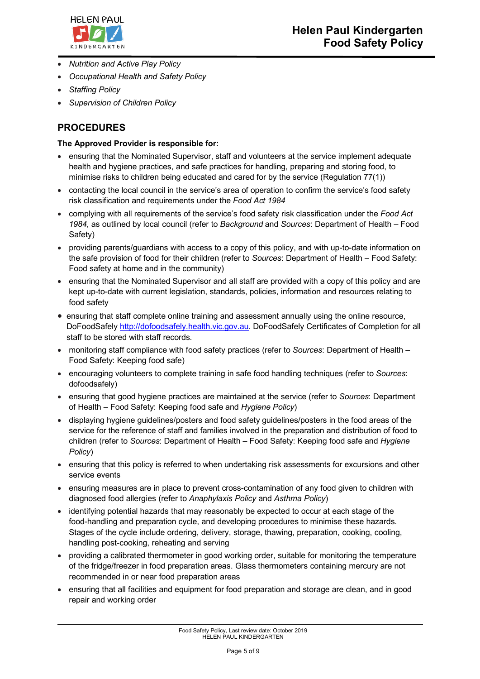

- *Nutrition and Active Play Policy*
- *Occupational Health and Safety Policy*
- *Staffing Policy*
- *Supervision of Children Policy*

## **PROCEDURES**

#### **The Approved Provider is responsible for:**

- ensuring that the Nominated Supervisor, staff and volunteers at the service implement adequate health and hygiene practices, and safe practices for handling, preparing and storing food, to minimise risks to children being educated and cared for by the service (Regulation 77(1))
- contacting the local council in the service's area of operation to confirm the service's food safety risk classification and requirements under the *Food Act 1984*
- complying with all requirements of the service's food safety risk classification under the *Food Act 1984*, as outlined by local council (refer to *Background* and *Sources*: Department of Health – Food Safety)
- providing parents/guardians with access to a copy of this policy, and with up-to-date information on the safe provision of food for their children (refer to *Sources*: Department of Health – Food Safety: Food safety at home and in the community)
- ensuring that the Nominated Supervisor and all staff are provided with a copy of this policy and are kept up-to-date with current legislation, standards, policies, information and resources relating to food safety
- ensuring that staff complete online training and assessment annually using the online resource, DoFoodSafely http://dofoodsafely.health.vic.gov.au. DoFoodSafely Certificates of Completion for all staff to be stored with staff records.
- monitoring staff compliance with food safety practices (refer to *Sources*: Department of Health Food Safety: Keeping food safe)
- encouraging volunteers to complete training in safe food handling techniques (refer to *Sources*: dofoodsafely)
- ensuring that good hygiene practices are maintained at the service (refer to *Sources*: Department of Health – Food Safety: Keeping food safe and *Hygiene Policy*)
- displaying hygiene guidelines/posters and food safety guidelines/posters in the food areas of the service for the reference of staff and families involved in the preparation and distribution of food to children (refer to *Sources*: Department of Health – Food Safety: Keeping food safe and *Hygiene Policy*)
- ensuring that this policy is referred to when undertaking risk assessments for excursions and other service events
- ensuring measures are in place to prevent cross-contamination of any food given to children with diagnosed food allergies (refer to *Anaphylaxis Policy* and *Asthma Policy*)
- identifying potential hazards that may reasonably be expected to occur at each stage of the food-handling and preparation cycle, and developing procedures to minimise these hazards. Stages of the cycle include ordering, delivery, storage, thawing, preparation, cooking, cooling, handling post-cooking, reheating and serving
- providing a calibrated thermometer in good working order, suitable for monitoring the temperature of the fridge/freezer in food preparation areas. Glass thermometers containing mercury are not recommended in or near food preparation areas
- ensuring that all facilities and equipment for food preparation and storage are clean, and in good repair and working order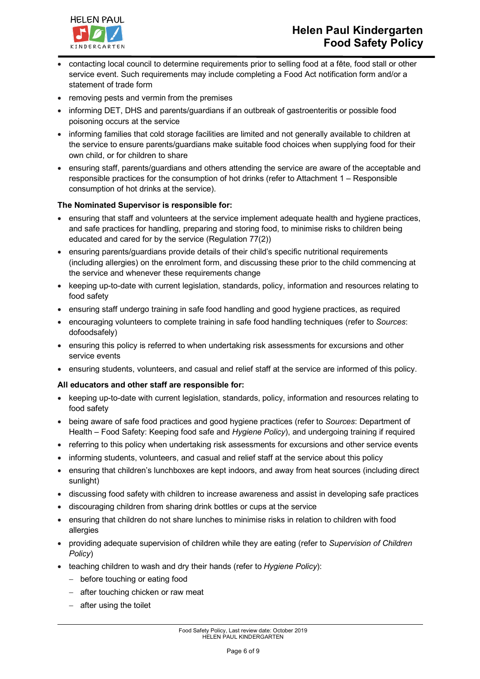



- contacting local council to determine requirements prior to selling food at a fête, food stall or other service event. Such requirements may include completing a Food Act notification form and/or a statement of trade form
- removing pests and vermin from the premises
- informing DET, DHS and parents/guardians if an outbreak of gastroenteritis or possible food poisoning occurs at the service
- informing families that cold storage facilities are limited and not generally available to children at the service to ensure parents/guardians make suitable food choices when supplying food for their own child, or for children to share
- ensuring staff, parents/guardians and others attending the service are aware of the acceptable and responsible practices for the consumption of hot drinks (refer to Attachment 1 – Responsible consumption of hot drinks at the service).

#### **The Nominated Supervisor is responsible for:**

- ensuring that staff and volunteers at the service implement adequate health and hygiene practices, and safe practices for handling, preparing and storing food, to minimise risks to children being educated and cared for by the service (Regulation 77(2))
- ensuring parents/guardians provide details of their child's specific nutritional requirements (including allergies) on the enrolment form, and discussing these prior to the child commencing at the service and whenever these requirements change
- keeping up-to-date with current legislation, standards, policy, information and resources relating to food safety
- ensuring staff undergo training in safe food handling and good hygiene practices, as required
- encouraging volunteers to complete training in safe food handling techniques (refer to *Sources*: dofoodsafely)
- ensuring this policy is referred to when undertaking risk assessments for excursions and other service events
- ensuring students, volunteers, and casual and relief staff at the service are informed of this policy.

#### **All educators and other staff are responsible for:**

- keeping up-to-date with current legislation, standards, policy, information and resources relating to food safety
- being aware of safe food practices and good hygiene practices (refer to *Sources*: Department of Health – Food Safety: Keeping food safe and *Hygiene Policy*), and undergoing training if required
- referring to this policy when undertaking risk assessments for excursions and other service events
- informing students, volunteers, and casual and relief staff at the service about this policy
- ensuring that children's lunchboxes are kept indoors, and away from heat sources (including direct sunlight)
- discussing food safety with children to increase awareness and assist in developing safe practices
- discouraging children from sharing drink bottles or cups at the service
- ensuring that children do not share lunches to minimise risks in relation to children with food allergies
- providing adequate supervision of children while they are eating (refer to *Supervision of Children Policy*)
- teaching children to wash and dry their hands (refer to *Hygiene Policy*):
	- before touching or eating food
	- after touching chicken or raw meat
	- after using the toilet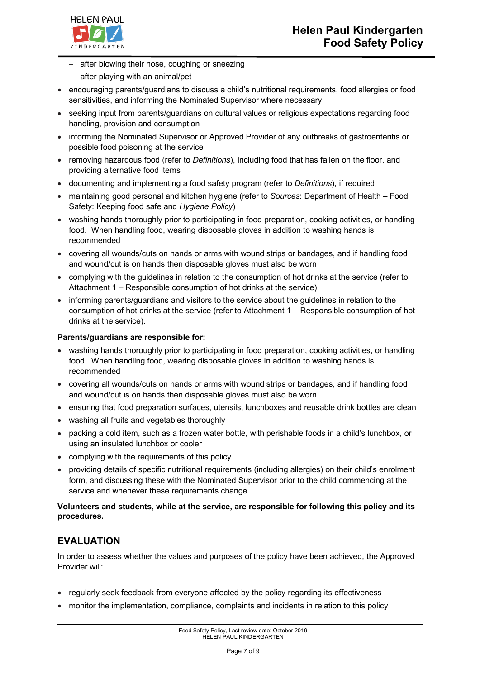

- after blowing their nose, coughing or sneezing
- after playing with an animal/pet
- encouraging parents/guardians to discuss a child's nutritional requirements, food allergies or food sensitivities, and informing the Nominated Supervisor where necessary
- seeking input from parents/guardians on cultural values or religious expectations regarding food handling, provision and consumption
- informing the Nominated Supervisor or Approved Provider of any outbreaks of gastroenteritis or possible food poisoning at the service
- removing hazardous food (refer to *Definitions*), including food that has fallen on the floor, and providing alternative food items
- documenting and implementing a food safety program (refer to *Definitions*), if required
- maintaining good personal and kitchen hygiene (refer to *Sources*: Department of Health Food Safety: Keeping food safe and *Hygiene Policy*)
- washing hands thoroughly prior to participating in food preparation, cooking activities, or handling food. When handling food, wearing disposable gloves in addition to washing hands is recommended
- covering all wounds/cuts on hands or arms with wound strips or bandages, and if handling food and wound/cut is on hands then disposable gloves must also be worn
- complying with the guidelines in relation to the consumption of hot drinks at the service (refer to Attachment 1 – Responsible consumption of hot drinks at the service)
- informing parents/guardians and visitors to the service about the guidelines in relation to the consumption of hot drinks at the service (refer to Attachment 1 – Responsible consumption of hot drinks at the service).

#### **Parents/guardians are responsible for:**

- washing hands thoroughly prior to participating in food preparation, cooking activities, or handling food. When handling food, wearing disposable gloves in addition to washing hands is recommended
- covering all wounds/cuts on hands or arms with wound strips or bandages, and if handling food and wound/cut is on hands then disposable gloves must also be worn
- ensuring that food preparation surfaces, utensils, lunchboxes and reusable drink bottles are clean
- washing all fruits and vegetables thoroughly
- packing a cold item, such as a frozen water bottle, with perishable foods in a child's lunchbox, or using an insulated lunchbox or cooler
- complying with the requirements of this policy
- providing details of specific nutritional requirements (including allergies) on their child's enrolment form, and discussing these with the Nominated Supervisor prior to the child commencing at the service and whenever these requirements change.

#### **Volunteers and students, while at the service, are responsible for following this policy and its procedures.**

## **EVALUATION**

In order to assess whether the values and purposes of the policy have been achieved, the Approved Provider will:

- regularly seek feedback from everyone affected by the policy regarding its effectiveness
- monitor the implementation, compliance, complaints and incidents in relation to this policy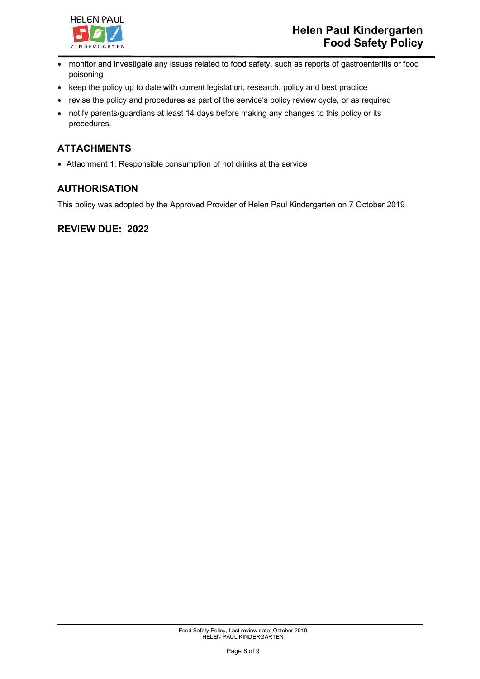

- monitor and investigate any issues related to food safety, such as reports of gastroenteritis or food poisoning
- keep the policy up to date with current legislation, research, policy and best practice
- revise the policy and procedures as part of the service's policy review cycle, or as required
- notify parents/guardians at least 14 days before making any changes to this policy or its procedures.

# **ATTACHMENTS**

• Attachment 1: Responsible consumption of hot drinks at the service

## **AUTHORISATION**

This policy was adopted by the Approved Provider of Helen Paul Kindergarten on 7 October 2019

### **REVIEW DUE: 2022**